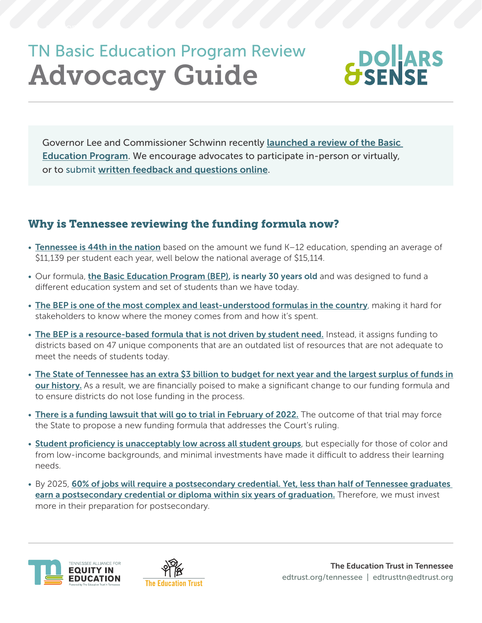# TN Basic Education Program Review Advocacy Guide



Governor Lee and Commissioner Schwinn recently [launched a review of the Basic](https://tn.chalkbeat.org/2021/10/13/22724267/tennessee-education-school-funding-student-centered-bill-lee)  [Education Program](https://tn.chalkbeat.org/2021/10/13/22724267/tennessee-education-school-funding-student-centered-bill-lee). We encourage advocates to participate in-person or virtually, or to submit [written feedback and questions online](mailto:?subject=).

# Why is Tennessee reviewing the funding formula now?

- [Tennessee is 44th in the nation](https://edlawcenter.org/research/making-the-grade-2021.html) based on the amount we fund K-12 education, spending an average of \$11,139 per student each year, well below the national average of \$15,114.
- Our formula, *[the Basic Education Program \(BEP\)](https://www.tn.gov/sbe/committees-and-initiatives/the-basic-education-program.html)*, is nearly 30 years old and was designed to fund a different education system and set of students than we have today.
- [The BEP is one of the most complex and least-understood formulas in the country](https://comptroller.tn.gov/office-functions/research-and-education-accountability/interactive-tools/bep.html)[,](https://comptroller.tn.gov/office-functions/research-and-education-accountability/interactive-tools/bep.html) making it hard for stakeholders to know where the money comes from and how it's spent.
- [The BEP is a resource-based formula that is not driven by student need.](http://funded.edbuild.org/reports/state/TN) Instead, it assigns funding to districts based on 47 unique components that are an outdated list of resources that are not adequate to meet the needs of students today.
- [The State of Tennessee has an extra \\$3 billion to budget for next year and the largest surplus of funds in](https://www.sycamoreinstitutetn.org/extra-3-billion-next-year/?utm_source=newsletter&utm_medium=email&utm_content=Keep%20Reading&utm_campaign=general)  [our history](https://www.sycamoreinstitutetn.org/extra-3-billion-next-year/?utm_source=newsletter&utm_medium=email&utm_content=Keep%20Reading&utm_campaign=general). As a result, we are financially poised to make a significant change to our funding formula and to ensure districts do not lose funding in the process.
- [There is a funding lawsuit that will go to trial in February of 2022.](https://tn.chalkbeat.org/2021/9/2/22654926/tennessee-school-funding-trial-bep-memphis-nashville) The outcome of that trial may force the State to propose a new funding formula that addresses the Court's ruling.
- [Student proficiency is unacceptably low across all student groups](https://www.tn.gov/content/dam/tn/education/tcap/spring-2021/TN-AcademicPerformance2020-2021.pdf), but especially for those of color and from low-income backgrounds, and minimal investments have made it difficult to address their learning needs.
- By 2025, 60% of jobs will require a postsecondary credential. Yet, less than half of Tennessee graduates [earn a postsecondary credential or diploma within six years of graduation.](https://www.luminafoundation.org/stronger-nation/report/#/progress/state/TN) Therefore, we must invest more in their preparation for postsecondary.



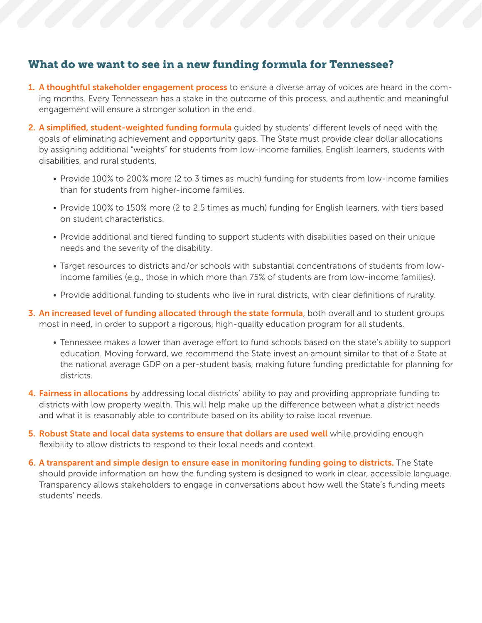## What do we want to see in a new funding formula for Tennessee?

- 1. A thoughtful stakeholder engagement process to ensure a diverse array of voices are heard in the coming months. Every Tennessean has a stake in the outcome of this process, and authentic and meaningful engagement will ensure a stronger solution in the end.
- 2. A simplified, student-weighted funding formula quided by students' different levels of need with the goals of eliminating achievement and opportunity gaps. The State must provide clear dollar allocations by assigning additional "weights" for students from low-income families, English learners, students with disabilities, and rural students.
	- Provide 100% to 200% more (2 to 3 times as much) funding for students from low-income families than for students from higher-income families.
	- Provide 100% to 150% more (2 to 2.5 times as much) funding for English learners, with tiers based on student characteristics.
	- Provide additional and tiered funding to support students with disabilities based on their unique needs and the severity of the disability.
	- Target resources to districts and/or schools with substantial concentrations of students from lowincome families (e.g., those in which more than 75% of students are from low-income families).
	- Provide additional funding to students who live in rural districts, with clear definitions of rurality.
- 3. An increased level of funding allocated through the state formula, both overall and to student groups most in need, in order to support a rigorous, high-quality education program for all students.
	- Tennessee makes a lower than average effort to fund schools based on the state's ability to support education. Moving forward, we recommend the State invest an amount similar to that of a State at the national average GDP on a per-student basis, making future funding predictable for planning for districts.
- 4. Fairness in allocations by addressing local districts' ability to pay and providing appropriate funding to districts with low property wealth. This will help make up the difference between what a district needs and what it is reasonably able to contribute based on its ability to raise local revenue.
- 5. Robust State and local data systems to ensure that dollars are used well while providing enough flexibility to allow districts to respond to their local needs and context.
- 6. A transparent and simple design to ensure ease in monitoring funding going to districts. The State should provide information on how the funding system is designed to work in clear, accessible language. Transparency allows stakeholders to engage in conversations about how well the State's funding meets students' needs.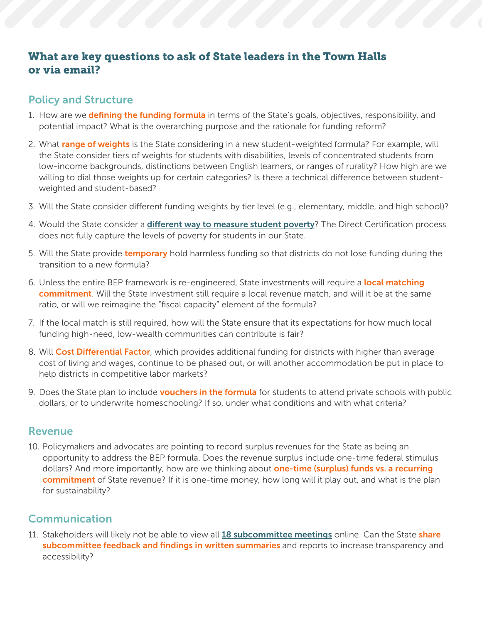## What are key questions to ask of State leaders in the Town Halls or via email?

## Policy and Structure

- 1. How are we defining the funding formula in terms of the State's goals, objectives, responsibility, and potential impact? What is the overarching purpose and the rationale for funding reform?
- 2. What range of weights is the State considering in a new student-weighted formula? For example, will the State consider tiers of weights for students with disabilities, levels of concentrated students from low-income backgrounds, distinctions between English learners, or ranges of rurality? How high are we willing to dial those weights up for certain categories? Is there a technical difference between studentweighted and student-based?
- 3. Will the State consider different funding weights by tier level (e.g., elementary, middle, and high school)?
- 4. Would the State consider a *[different way to measure student poverty](https://www.urban.org/sites/default/files/publication/99325/new_measures_of_student_poverty_1.pdf)*? The Direct Certification process does not fully capture the levels of poverty for students in our State.
- 5. Will the State provide **temporary** hold harmless funding so that districts do not lose funding during the transition to a new formula?
- 6. Unless the entire BEP framework is re-engineered, State investments will require a local matching commitment. Will the State investment still require a local revenue match, and will it be at the same ratio, or will we reimagine the "fiscal capacity" element of the formula?
- 7. If the local match is still required, how will the State ensure that its expectations for how much local funding high-need, low-wealth communities can contribute is fair?
- 8. Will Cost Differential Factor, which provides additional funding for districts with higher than average cost of living and wages, continue to be phased out, or will another accommodation be put in place to help districts in competitive labor markets?
- 9. Does the State plan to include **vouchers in the formula** for students to attend private schools with public dollars, or to underwrite homeschooling? If so, under what conditions and with what criteria?

#### Revenue

10. Policymakers and advocates are pointing to record surplus revenues for the State as being an opportunity to address the BEP formula. Does the revenue surplus include one-time federal stimulus dollars? And more importantly, how are we thinking about **one-time (surplus) funds vs. a recurring** commitment of State revenue? If it is one-time money, how long will it play out, and what is the plan for sustainability?

## Communication

11. Stakeholders will likely not be able to view all [18 subcommittee meetings](https://www.tn.gov/education/news/2021/10/12/tdoe-announces-central-steering-committee--18-subcommittees-focused-on-exploring-student-centered-funding-strategy-.html) online. Can the State share subcommittee feedback and findings in written summaries and reports to increase transparency and accessibility?